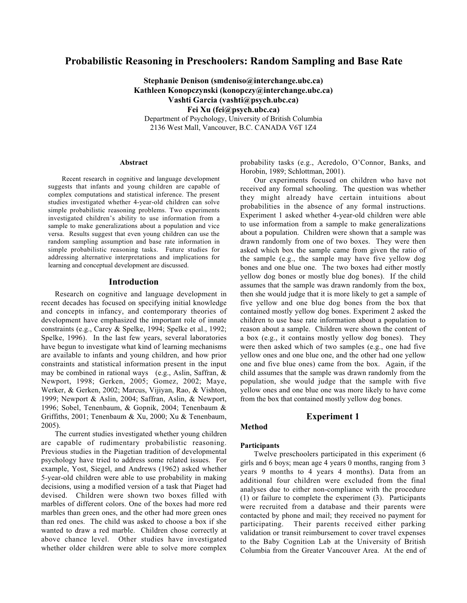# **Probabilistic Reasoning in Preschoolers: Random Sampling and Base Rate**

**Stephanie Denison (smdeniso@interchange.ubc.ca) Kathleen Konopczynski (konopczy@interchange.ubc.ca) Vashti Garcia (vashti@psych.ubc.ca) Fei Xu (fei@psych.ubc.ca)** Department of Psychology, University of British Columbia 2136 West Mall, Vancouver, B.C. CANADA V6T 1Z4

#### **Abstract**

Recent research in cognitive and language development suggests that infants and young children are capable of complex computations and statistical inference. The present studies investigated whether 4-year-old children can solve simple probabilistic reasoning problems. Two experiments investigated children's ability to use information from a sample to make generalizations about a population and vice versa. Results suggest that even young children can use the random sampling assumption and base rate information in simple probabilistic reasoning tasks. Future studies for addressing alternative interpretations and implications for learning and conceptual development are discussed.

# **Introduction**

Research on cognitive and language development in recent decades has focused on specifying initial knowledge and concepts in infancy, and contemporary theories of development have emphasized the important role of innate constraints (e.g., Carey & Spelke, 1994; Spelke et al., 1992; Spelke, 1996). In the last few years, several laboratories have begun to investigate what kind of learning mechanisms are available to infants and young children, and how prior constraints and statistical information present in the input may be combined in rational ways (e.g., Aslin, Saffran, & Newport, 1998; Gerken, 2005; Gomez, 2002; Maye, Werker, & Gerken, 2002; Marcus, Vijiyan, Rao, & Vishton, 1999; Newport & Aslin, 2004; Saffran, Aslin, & Newport, 1996; Sobel, Tenenbaum, & Gopnik, 2004; Tenenbaum & Griffiths, 2001; Tenenbaum & Xu, 2000; Xu & Tenenbaum, 2005).

The current studies investigated whether young children are capable of rudimentary probabilistic reasoning. Previous studies in the Piagetian tradition of developmental psychology have tried to address some related issues. For example, Yost, Siegel, and Andrews (1962) asked whether 5-year-old children were able to use probability in making decisions, using a modified version of a task that Piaget had devised. Children were shown two boxes filled with marbles of different colors. One of the boxes had more red marbles than green ones, and the other had more green ones than red ones. The child was asked to choose a box if she wanted to draw a red marble. Children chose correctly at above chance level. Other studies have investigated whether older children were able to solve more complex

probability tasks (e.g., Acredolo, O'Connor, Banks, and Horobin, 1989; Schlottman, 2001).

Our experiments focused on children who have not received any formal schooling. The question was whether they might already have certain intuitions about probabilities in the absence of any formal instructions. Experiment 1 asked whether 4-year-old children were able to use information from a sample to make generalizations about a population. Children were shown that a sample was drawn randomly from one of two boxes. They were then asked which box the sample came from given the ratio of the sample (e.g., the sample may have five yellow dog bones and one blue one. The two boxes had either mostly yellow dog bones or mostly blue dog bones). If the child assumes that the sample was drawn randomly from the box, then she would judge that it is more likely to get a sample of five yellow and one blue dog bones from the box that contained mostly yellow dog bones. Experiment 2 asked the children to use base rate information about a population to reason about a sample. Children were shown the content of a box (e.g., it contains mostly yellow dog bones). They were then asked which of two samples (e.g., one had five yellow ones and one blue one, and the other had one yellow one and five blue ones) came from the box. Again, if the child assumes that the sample was drawn randomly from the population, she would judge that the sample with five yellow ones and one blue one was more likely to have come from the box that contained mostly yellow dog bones.

# **Experiment 1**

# **Method**

#### **Participants**

Twelve preschoolers participated in this experiment (6 girls and 6 boys; mean age 4 years 0 months, ranging from 3 years 9 months to 4 years 4 months). Data from an additional four children were excluded from the final analyses due to either non-compliance with the procedure (1) or failure to complete the experiment (3). Participants were recruited from a database and their parents were contacted by phone and mail; they received no payment for participating. Their parents received either parking validation or transit reimbursement to cover travel expenses to the Baby Cognition Lab at the University of British Columbia from the Greater Vancouver Area. At the end of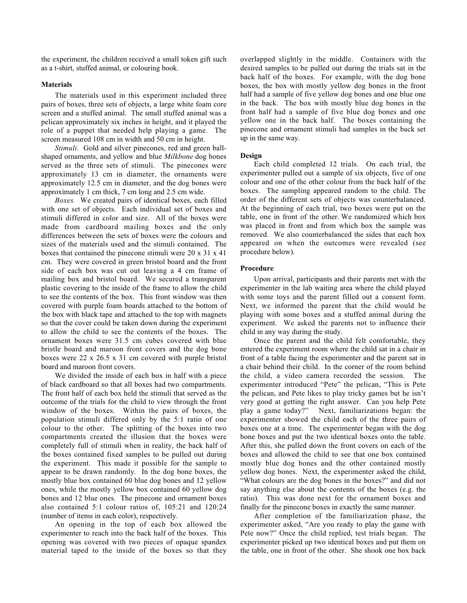the experiment, the children received a small token gift such as a t-shirt, stuffed animal, or colouring book.

## **Materials**

The materials used in this experiment included three pairs of boxes, three sets of objects, a large white foam core screen and a stuffed animal. The small stuffed animal was a pelican approximately six inches in height, and it played the role of a puppet that needed help playing a game. The screen measured 108 cm in width and 50 cm in height.

*Stimuli*. Gold and silver pinecones, red and green ballshaped ornaments, and yellow and blue *Milkbone* dog bones served as the three sets of stimuli. The pinecones were approximately 13 cm in diameter, the ornaments were approximately 12.5 cm in diameter, and the dog bones were approximately 1 cm thick, 7 cm long and 2.5 cm wide.

*Boxes.* We created pairs of identical boxes, each filled with one set of objects. Each individual set of boxes and stimuli differed in color and size. All of the boxes were made from cardboard mailing boxes and the only differences between the sets of boxes were the colours and sizes of the materials used and the stimuli contained. The boxes that contained the pinecone stimuli were 20 x 31 x 41 cm. They were covered in green bristol board and the front side of each box was cut out leaving a 4 cm frame of mailing box and bristol board. We secured a transparent plastic covering to the inside of the frame to allow the child to see the contents of the box. This front window was then covered with purple foam boards attached to the bottom of the box with black tape and attached to the top with magnets so that the cover could be taken down during the experiment to allow the child to see the contents of the boxes. The ornament boxes were 31.5 cm cubes covered with blue bristle board and maroon front covers and the dog bone boxes were 22 x 26.5 x 31 cm covered with purple bristol board and maroon front covers.

We divided the inside of each box in half with a piece of black cardboard so that all boxes had two compartments. The front half of each box held the stimuli that served as the outcome of the trials for the child to view through the front window of the boxes. Within the pairs of boxes, the population stimuli differed only by the 5:1 ratio of one colour to the other. The splitting of the boxes into two compartments created the illusion that the boxes were completely full of stimuli when in reality, the back half of the boxes contained fixed samples to be pulled out during the experiment. This made it possible for the sample to appear to be drawn randomly. In the dog bone boxes, the mostly blue box contained 60 blue dog bones and 12 yellow ones, while the mostly yellow box contained 60 yellow dog bones and 12 blue ones. The pinecone and ornament boxes also contained 5:1 colour ratios of, 105:21 and 120:24 (number of items in each color), respectively.

An opening in the top of each box allowed the experimenter to reach into the back half of the boxes. This opening was covered with two pieces of opaque spandex material taped to the inside of the boxes so that they overlapped slightly in the middle. Containers with the desired samples to be pulled out during the trials sat in the back half of the boxes. For example, with the dog bone boxes, the box with mostly yellow dog bones in the front half had a sample of five yellow dog bones and one blue one in the back. The box with mostly blue dog bones in the front half had a sample of five blue dog bones and one yellow one in the back half. The boxes containing the pinecone and ornament stimuli had samples in the back set up in the same way.

#### **Design**

Each child completed 12 trials. On each trial, the experimenter pulled out a sample of six objects, five of one colour and one of the other colour from the back half of the boxes. The sampling appeared random to the child. The order of the different sets of objects was counterbalanced. At the beginning of each trial, two boxes were put on the table, one in front of the other. We randomized which box was placed in front and from which box the sample was removed. We also counterbalanced the sides that each box appeared on when the outcomes were revealed (see procedure below).

### **Procedure**

Upon arrival, participants and their parents met with the experimenter in the lab waiting area where the child played with some toys and the parent filled out a consent form. Next, we informed the parent that the child would be playing with some boxes and a stuffed animal during the experiment. We asked the parents not to influence their child in any way during the study.

Once the parent and the child felt comfortable, they entered the experiment room where the child sat in a chair in front of a table facing the experimenter and the parent sat in a chair behind their child. In the corner of the room behind the child, a video camera recorded the session. The experimenter introduced "Pete" the pelican, "This is Pete the pelican, and Pete likes to play tricky games but he isn't very good at getting the right answer. Can you help Pete play a game today?" Next, familiarizations began: the experimenter showed the child each of the three pairs of boxes one at a time. The experimenter began with the dog bone boxes and put the two identical boxes onto the table. After this, she pulled down the front covers on each of the boxes and allowed the child to see that one box contained mostly blue dog bones and the other contained mostly yellow dog bones. Next, the experimenter asked the child, "What colours are the dog bones in the boxes?" and did not say anything else about the contents of the boxes (e.g. the ratio). This was done next for the ornament boxes and finally for the pinecone boxes in exactly the same manner.

After completion of the familiarization phase, the experimenter asked, "Are you ready to play the game with Pete now?" Once the child replied, test trials began. The experimenter picked up two identical boxes and put them on the table, one in front of the other. She shook one box back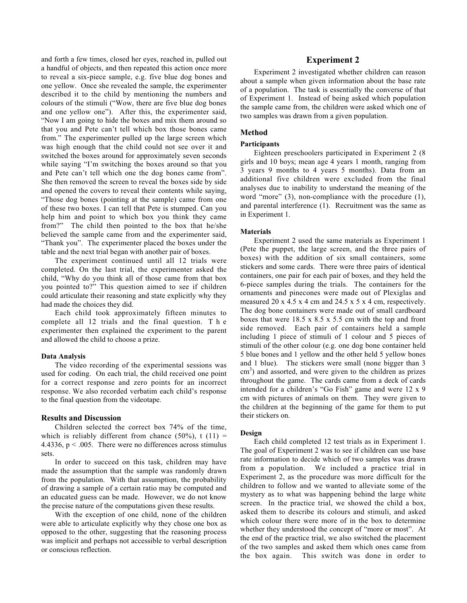and forth a few times, closed her eyes, reached in, pulled out a handful of objects, and then repeated this action once more to reveal a six-piece sample, e.g. five blue dog bones and one yellow. Once she revealed the sample, the experimenter described it to the child by mentioning the numbers and colours of the stimuli ("Wow, there are five blue dog bones and one yellow one"). After this, the experimenter said, "Now I am going to hide the boxes and mix them around so that you and Pete can't tell which box those bones came from." The experimenter pulled up the large screen which was high enough that the child could not see over it and switched the boxes around for approximately seven seconds while saying "I'm switching the boxes around so that you and Pete can't tell which one the dog bones came from". She then removed the screen to reveal the boxes side by side and opened the covers to reveal their contents while saying, "Those dog bones (pointing at the sample) came from one of these two boxes. I can tell that Pete is stumped. Can you help him and point to which box you think they came from?" The child then pointed to the box that he/she believed the sample came from and the experimenter said, "Thank you". The experimenter placed the boxes under the table and the next trial began with another pair of boxes.

The experiment continued until all 12 trials were completed. On the last trial, the experimenter asked the child, "Why do you think all of those came from that box you pointed to?" This question aimed to see if children could articulate their reasoning and state explicitly why they had made the choices they did.

Each child took approximately fifteen minutes to complete all 12 trials and the final question. The experimenter then explained the experiment to the parent and allowed the child to choose a prize.

## **Data Analysis**

The video recording of the experimental sessions was used for coding. On each trial, the child received one point for a correct response and zero points for an incorrect response. We also recorded verbatim each child's response to the final question from the videotape.

# **Results and Discussion**

Children selected the correct box 74% of the time, which is reliably different from chance  $(50\%)$ , t  $(11)$  = 4.4336,  $p < .005$ . There were no differences across stimulus sets.

In order to succeed on this task, children may have made the assumption that the sample was randomly drawn from the population. With that assumption, the probability of drawing a sample of a certain ratio may be computed and an educated guess can be made. However, we do not know the precise nature of the computations given these results.

With the exception of one child, none of the children were able to articulate explicitly why they chose one box as opposed to the other, suggesting that the reasoning process was implicit and perhaps not accessible to verbal description or conscious reflection.

# **Experiment 2**

Experiment 2 investigated whether children can reason about a sample when given information about the base rate of a population. The task is essentially the converse of that of Experiment 1. Instead of being asked which population the sample came from, the children were asked which one of two samples was drawn from a given population.

## **Method**

#### **Participants**

Eighteen preschoolers participated in Experiment 2 (8 girls and 10 boys; mean age 4 years 1 month, ranging from 3 years 9 months to 4 years 5 months). Data from an additional five children were excluded from the final analyses due to inability to understand the meaning of the word "more" (3), non-compliance with the procedure (1), and parental interference (1). Recruitment was the same as in Experiment 1.

#### **Materials**

Experiment 2 used the same materials as Experiment 1 (Pete the puppet, the large screen, and the three pairs of boxes) with the addition of six small containers, some stickers and some cards. There were three pairs of identical containers, one pair for each pair of boxes, and they held the 6-piece samples during the trials. The containers for the ornaments and pinecones were made out of Plexiglas and measured 20 x 4.5 x 4 cm and 24.5 x 5 x 4 cm, respectively. The dog bone containers were made out of small cardboard boxes that were 18.5 x 8.5 x 5.5 cm with the top and front side removed. Each pair of containers held a sample including 1 piece of stimuli of 1 colour and 5 pieces of stimuli of the other colour (e.g. one dog bone container held 5 blue bones and 1 yellow and the other held 5 yellow bones and 1 blue). The stickers were small (none bigger than 3  $\text{cm}^3$ ) and assorted, and were given to the children as prizes throughout the game. The cards came from a deck of cards intended for a children's "Go Fish" game and were 12 x 9 cm with pictures of animals on them. They were given to the children at the beginning of the game for them to put their stickers on.

#### **Design**

Each child completed 12 test trials as in Experiment 1. The goal of Experiment 2 was to see if children can use base rate information to decide which of two samples was drawn from a population. We included a practice trial in Experiment 2, as the procedure was more difficult for the children to follow and we wanted to alleviate some of the mystery as to what was happening behind the large white screen. In the practice trial, we showed the child a box, asked them to describe its colours and stimuli, and asked which colour there were more of in the box to determine whether they understood the concept of "more or most". At the end of the practice trial, we also switched the placement of the two samples and asked them which ones came from the box again. This switch was done in order to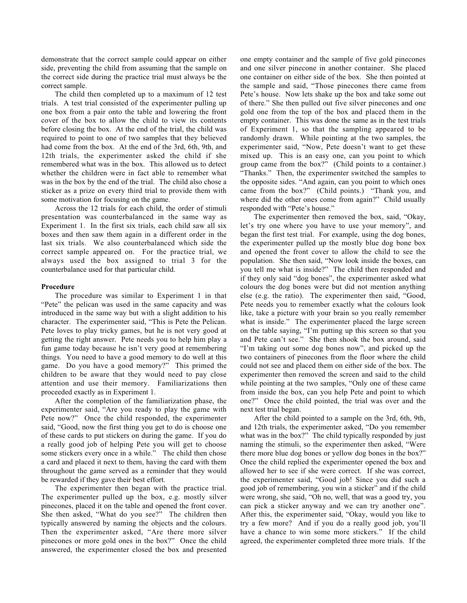demonstrate that the correct sample could appear on either side, preventing the child from assuming that the sample on the correct side during the practice trial must always be the correct sample.

The child then completed up to a maximum of 12 test trials. A test trial consisted of the experimenter pulling up one box from a pair onto the table and lowering the front cover of the box to allow the child to view its contents before closing the box. At the end of the trial, the child was required to point to one of two samples that they believed had come from the box. At the end of the 3rd, 6th, 9th, and 12th trials, the experimenter asked the child if she remembered what was in the box. This allowed us to detect whether the children were in fact able to remember what was in the box by the end of the trial. The child also chose a sticker as a prize on every third trial to provide them with some motivation for focusing on the game.

Across the 12 trials for each child, the order of stimuli presentation was counterbalanced in the same way as Experiment 1. In the first six trials, each child saw all six boxes and then saw them again in a different order in the last six trials. We also counterbalanced which side the correct sample appeared on. For the practice trial, we always used the box assigned to trial 3 for the counterbalance used for that particular child.

#### **Procedure**

The procedure was similar to Experiment 1 in that "Pete" the pelican was used in the same capacity and was introduced in the same way but with a slight addition to his character. The experimenter said, "This is Pete the Pelican. Pete loves to play tricky games, but he is not very good at getting the right answer. Pete needs you to help him play a fun game today because he isn't very good at remembering things. You need to have a good memory to do well at this game. Do you have a good memory?" This primed the children to be aware that they would need to pay close attention and use their memory. Familiarizations then proceeded exactly as in Experiment 1.

After the completion of the familiarization phase, the experimenter said, "Are you ready to play the game with Pete now?" Once the child responded, the experimenter said, "Good, now the first thing you get to do is choose one of these cards to put stickers on during the game. If you do a really good job of helping Pete you will get to choose some stickers every once in a while." The child then chose a card and placed it next to them, having the card with them throughout the game served as a reminder that they would be rewarded if they gave their best effort.

The experimenter then began with the practice trial. The experimenter pulled up the box, e.g. mostly silver pinecones, placed it on the table and opened the front cover. She then asked, "What do you see?" The children then typically answered by naming the objects and the colours. Then the experimenter asked, "Are there more silver pinecones or more gold ones in the box?" Once the child answered, the experimenter closed the box and presented

one empty container and the sample of five gold pinecones and one silver pinecone in another container. She placed one container on either side of the box. She then pointed at the sample and said, "Those pinecones there came from Pete's house. Now lets shake up the box and take some out of there." She then pulled out five silver pinecones and one gold one from the top of the box and placed them in the empty container. This was done the same as in the test trials of Experiment 1, so that the sampling appeared to be randomly drawn. While pointing at the two samples, the experimenter said, "Now, Pete doesn't want to get these mixed up. This is an easy one, can you point to which group came from the box?" (Child points to a container.) "Thanks." Then, the experimenter switched the samples to the opposite sides. "And again, can you point to which ones came from the box?" (Child points.) "Thank you, and where did the other ones come from again?" Child usually responded with "Pete's house."

The experimenter then removed the box, said, "Okay, let's try one where you have to use your memory", and began the first test trial. For example, using the dog bones, the experimenter pulled up the mostly blue dog bone box and opened the front cover to allow the child to see the population. She then said, "Now look inside the boxes, can you tell me what is inside?" The child then responded and if they only said "dog bones", the experimenter asked what colours the dog bones were but did not mention anything else (e.g. the ratio). The experimenter then said, "Good, Pete needs you to remember exactly what the colours look like, take a picture with your brain so you really remember what is inside." The experimenter placed the large screen on the table saying, "I'm putting up this screen so that you and Pete can't see." She then shook the box around, said "I'm taking out some dog bones now", and picked up the two containers of pinecones from the floor where the child could not see and placed them on either side of the box. The experimenter then removed the screen and said to the child while pointing at the two samples, "Only one of these came from inside the box, can you help Pete and point to which one?" Once the child pointed, the trial was over and the next test trial began.

After the child pointed to a sample on the 3rd, 6th, 9th, and 12th trials, the experimenter asked, "Do you remember what was in the box?" The child typically responded by just naming the stimuli, so the experimenter then asked, "Were there more blue dog bones or yellow dog bones in the box?" Once the child replied the experimenter opened the box and allowed her to see if she were correct. If she was correct, the experimenter said, "Good job! Since you did such a good job of remembering, you win a sticker" and if the child were wrong, she said, "Oh no, well, that was a good try, you can pick a sticker anyway and we can try another one". After this, the experimenter said, "Okay, would you like to try a few more? And if you do a really good job, you'll have a chance to win some more stickers." If the child agreed, the experimenter completed three more trials. If the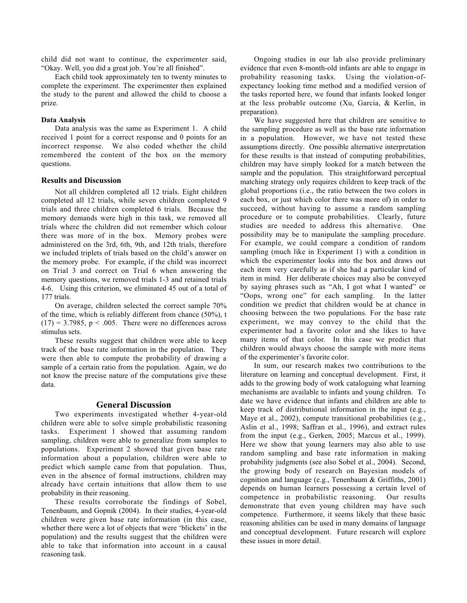child did not want to continue, the experimenter said, "Okay. Well, you did a great job. You're all finished".

Each child took approximately ten to twenty minutes to complete the experiment. The experimenter then explained the study to the parent and allowed the child to choose a prize.

### **Data Analysis**

Data analysis was the same as Experiment 1. A child received 1 point for a correct response and 0 points for an incorrect response. We also coded whether the child remembered the content of the box on the memory questions.

### **Results and Discussion**

Not all children completed all 12 trials. Eight children completed all 12 trials, while seven children completed 9 trials and three children completed 6 trials. Because the memory demands were high in this task, we removed all trials where the children did not remember which colour there was more of in the box. Memory probes were administered on the 3rd, 6th, 9th, and 12th trials, therefore we included triplets of trials based on the child's answer on the memory probe. For example, if the child was incorrect on Trial 3 and correct on Trial 6 when answering the memory questions, we removed trials 1-3 and retained trials 4-6. Using this criterion, we eliminated 45 out of a total of 177 trials.

On average, children selected the correct sample 70% of the time, which is reliably different from chance (50%), t  $(17) = 3.7985$ ,  $p < .005$ . There were no differences across stimulus sets.

These results suggest that children were able to keep track of the base rate information in the population. They were then able to compute the probability of drawing a sample of a certain ratio from the population. Again, we do not know the precise nature of the computations give these data.

## **General Discussion**

Two experiments investigated whether 4-year-old children were able to solve simple probabilistic reasoning tasks. Experiment 1 showed that assuming random sampling, children were able to generalize from samples to populations. Experiment 2 showed that given base rate information about a population, children were able to predict which sample came from that population. Thus, even in the absence of formal instructions, children may already have certain intuitions that allow them to use probability in their reasoning.

These results corroborate the findings of Sobel, Tenenbaum, and Gopnik (2004). In their studies, 4-year-old children were given base rate information (in this case, whether there were a lot of objects that were 'blickets' in the population) and the results suggest that the children were able to take that information into account in a causal reasoning task.

Ongoing studies in our lab also provide preliminary evidence that even 8-month-old infants are able to engage in probability reasoning tasks. Using the violation-ofexpectancy looking time method and a modified version of the tasks reported here, we found that infants looked longer at the less probable outcome (Xu, Garcia, & Kerlin, in preparation).

We have suggested here that children are sensitive to the sampling procedure as well as the base rate information in a population. However, we have not tested these assumptions directly. One possible alternative interpretation for these results is that instead of computing probabilities, children may have simply looked for a match between the sample and the population. This straightforward perceptual matching strategy only requires children to keep track of the global proportions (i.e., the ratio between the two colors in each box, or just which color there was more of) in order to succeed, without having to assume a random sampling procedure or to compute probabilities. Clearly, future studies are needed to address this alternative. One possibility may be to manipulate the sampling procedure. For example, we could compare a condition of random sampling (much like in Experiment 1) with a condition in which the experimenter looks into the box and draws out each item very carefully as if she had a particular kind of item in mind. Her deliberate choices may also be conveyed by saying phrases such as "Ah, I got what I wanted" or "Oops, wrong one" for each sampling. In the latter condition we predict that children would be at chance in choosing between the two populations. For the base rate experiment, we may convey to the child that the experimenter had a favorite color and she likes to have many items of that color. In this case we predict that children would always choose the sample with more items of the experimenter's favorite color.

In sum, our research makes two contributions to the literature on learning and conceptual development. First, it adds to the growing body of work cataloguing what learning mechanisms are available to infants and young children. To date we have evidence that infants and children are able to keep track of distributional information in the input (e.g., Maye et al., 2002), compute transitional probabilities (e.g., Aslin et al., 1998; Saffran et al., 1996), and extract rules from the input (e.g., Gerken, 2005; Marcus et al., 1999). Here we show that young learners may also able to use random sampling and base rate information in making probability judgments (see also Sobel et al., 2004). Second, the growing body of research on Bayesian models of cognition and language (e.g., Tenenbaum & Griffiths, 2001) depends on human learners possessing a certain level of competence in probabilistic reasoning. Our results demonstrate that even young children may have such competence. Furthermore, it seems likely that these basic reasoning abilities can be used in many domains of language and conceptual development. Future research will explore these issues in more detail.